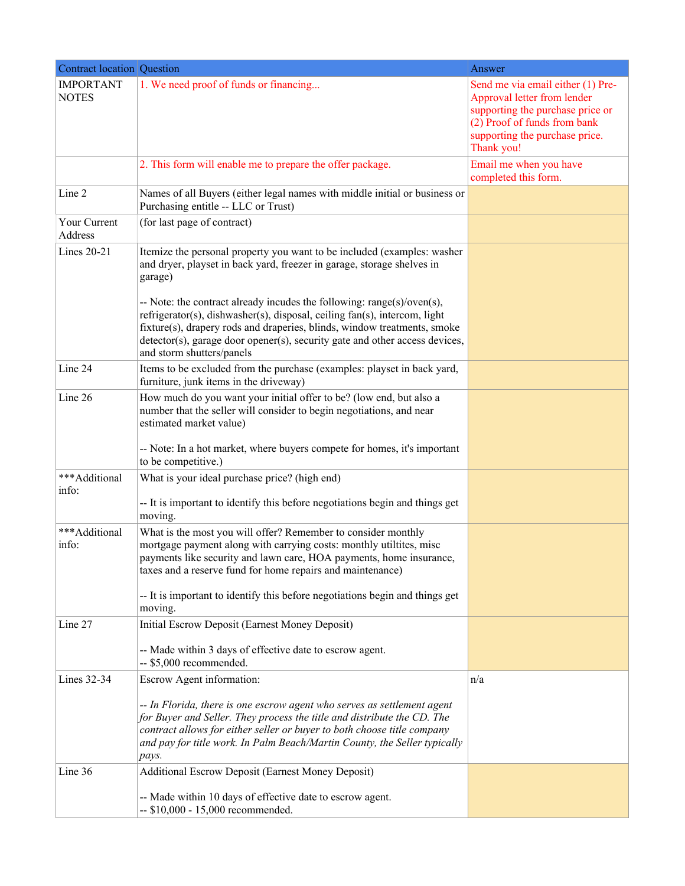| <b>Contract location Question</b> |                                                                                                                                                                                                                                                                                                                                                           | Answer                                                                                                                                                                               |
|-----------------------------------|-----------------------------------------------------------------------------------------------------------------------------------------------------------------------------------------------------------------------------------------------------------------------------------------------------------------------------------------------------------|--------------------------------------------------------------------------------------------------------------------------------------------------------------------------------------|
| <b>IMPORTANT</b><br><b>NOTES</b>  | 1. We need proof of funds or financing                                                                                                                                                                                                                                                                                                                    | Send me via email either (1) Pre-<br>Approval letter from lender<br>supporting the purchase price or<br>(2) Proof of funds from bank<br>supporting the purchase price.<br>Thank you! |
|                                   | 2. This form will enable me to prepare the offer package.                                                                                                                                                                                                                                                                                                 | Email me when you have<br>completed this form.                                                                                                                                       |
| Line 2                            | Names of all Buyers (either legal names with middle initial or business or<br>Purchasing entitle -- LLC or Trust)                                                                                                                                                                                                                                         |                                                                                                                                                                                      |
| Your Current<br>Address           | (for last page of contract)                                                                                                                                                                                                                                                                                                                               |                                                                                                                                                                                      |
| <b>Lines 20-21</b>                | Itemize the personal property you want to be included (examples: washer<br>and dryer, playset in back yard, freezer in garage, storage shelves in<br>garage)                                                                                                                                                                                              |                                                                                                                                                                                      |
|                                   | -- Note: the contract already incudes the following: range(s)/oven(s),<br>refrigerator(s), dishwasher(s), disposal, ceiling fan(s), intercom, light<br>fixture(s), drapery rods and draperies, blinds, window treatments, smoke<br>detector(s), garage door opener(s), security gate and other access devices,<br>and storm shutters/panels               |                                                                                                                                                                                      |
| Line 24                           | Items to be excluded from the purchase (examples: playset in back yard,<br>furniture, junk items in the driveway)                                                                                                                                                                                                                                         |                                                                                                                                                                                      |
| Line 26                           | How much do you want your initial offer to be? (low end, but also a<br>number that the seller will consider to begin negotiations, and near<br>estimated market value)<br>-- Note: In a hot market, where buyers compete for homes, it's important                                                                                                        |                                                                                                                                                                                      |
|                                   | to be competitive.)                                                                                                                                                                                                                                                                                                                                       |                                                                                                                                                                                      |
| ***Additional<br>info:            | What is your ideal purchase price? (high end)<br>-- It is important to identify this before negotiations begin and things get<br>moving.                                                                                                                                                                                                                  |                                                                                                                                                                                      |
| ***Additional<br>info:            | What is the most you will offer? Remember to consider monthly<br>mortgage payment along with carrying costs: monthly utiltites, misc<br>payments like security and lawn care, HOA payments, home insurance,<br>taxes and a reserve fund for home repairs and maintenance)<br>-- It is important to identify this before negotiations begin and things get |                                                                                                                                                                                      |
| Line 27                           | moving.<br>Initial Escrow Deposit (Earnest Money Deposit)                                                                                                                                                                                                                                                                                                 |                                                                                                                                                                                      |
|                                   | -- Made within 3 days of effective date to escrow agent.<br>-- \$5,000 recommended.                                                                                                                                                                                                                                                                       |                                                                                                                                                                                      |
| Lines 32-34                       | Escrow Agent information:                                                                                                                                                                                                                                                                                                                                 | n/a                                                                                                                                                                                  |
|                                   | -- In Florida, there is one escrow agent who serves as settlement agent<br>for Buyer and Seller. They process the title and distribute the CD. The<br>contract allows for either seller or buyer to both choose title company<br>and pay for title work. In Palm Beach/Martin County, the Seller typically<br>pays.                                       |                                                                                                                                                                                      |
| Line 36                           | <b>Additional Escrow Deposit (Earnest Money Deposit)</b>                                                                                                                                                                                                                                                                                                  |                                                                                                                                                                                      |
|                                   | -- Made within 10 days of effective date to escrow agent.<br>-- \$10,000 - 15,000 recommended.                                                                                                                                                                                                                                                            |                                                                                                                                                                                      |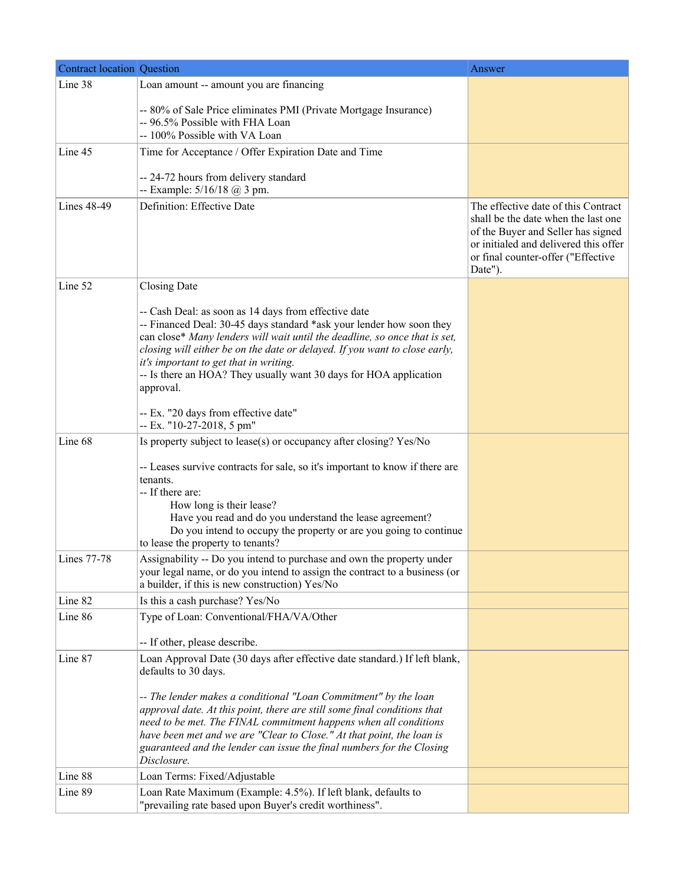| <b>Contract location Question</b> |                                                                                                                                                                                                                                                                                                                                                                                                                                                                                        | Answer                                                                                                                                                                                                     |
|-----------------------------------|----------------------------------------------------------------------------------------------------------------------------------------------------------------------------------------------------------------------------------------------------------------------------------------------------------------------------------------------------------------------------------------------------------------------------------------------------------------------------------------|------------------------------------------------------------------------------------------------------------------------------------------------------------------------------------------------------------|
| Line 38                           | Loan amount -- amount you are financing                                                                                                                                                                                                                                                                                                                                                                                                                                                |                                                                                                                                                                                                            |
|                                   | -- 80% of Sale Price eliminates PMI (Private Mortgage Insurance)<br>-- 96.5% Possible with FHA Loan<br>-- 100% Possible with VA Loan                                                                                                                                                                                                                                                                                                                                                   |                                                                                                                                                                                                            |
| Line 45                           | Time for Acceptance / Offer Expiration Date and Time                                                                                                                                                                                                                                                                                                                                                                                                                                   |                                                                                                                                                                                                            |
|                                   | -- 24-72 hours from delivery standard<br>-- Example: $5/16/18$ @ 3 pm.                                                                                                                                                                                                                                                                                                                                                                                                                 |                                                                                                                                                                                                            |
| Lines 48-49                       | Definition: Effective Date                                                                                                                                                                                                                                                                                                                                                                                                                                                             | The effective date of this Contract<br>shall be the date when the last one<br>of the Buyer and Seller has signed<br>or initialed and delivered this offer<br>or final counter-offer ("Effective<br>Date"). |
| Line 52                           | Closing Date                                                                                                                                                                                                                                                                                                                                                                                                                                                                           |                                                                                                                                                                                                            |
|                                   | -- Cash Deal: as soon as 14 days from effective date<br>-- Financed Deal: 30-45 days standard *ask your lender how soon they<br>can close* Many lenders will wait until the deadline, so once that is set,<br>closing will either be on the date or delayed. If you want to close early,<br>it's important to get that in writing.<br>-- Is there an HOA? They usually want 30 days for HOA application<br>approval.                                                                   |                                                                                                                                                                                                            |
|                                   | -- Ex. "20 days from effective date"<br>$-$ Ex. "10-27-2018, 5 pm"                                                                                                                                                                                                                                                                                                                                                                                                                     |                                                                                                                                                                                                            |
| Line 68                           | Is property subject to lease(s) or occupancy after closing? Yes/No                                                                                                                                                                                                                                                                                                                                                                                                                     |                                                                                                                                                                                                            |
|                                   | -- Leases survive contracts for sale, so it's important to know if there are<br>tenants.<br>-- If there are:<br>How long is their lease?<br>Have you read and do you understand the lease agreement?<br>Do you intend to occupy the property or are you going to continue<br>to lease the property to tenants?                                                                                                                                                                         |                                                                                                                                                                                                            |
| Lines 77-78                       | Assignability -- Do you intend to purchase and own the property under<br>your legal name, or do you intend to assign the contract to a business (or<br>a builder, if this is new construction) Yes/No                                                                                                                                                                                                                                                                                  |                                                                                                                                                                                                            |
| Line 82                           | Is this a cash purchase? Yes/No                                                                                                                                                                                                                                                                                                                                                                                                                                                        |                                                                                                                                                                                                            |
| Line 86                           | Type of Loan: Conventional/FHA/VA/Other                                                                                                                                                                                                                                                                                                                                                                                                                                                |                                                                                                                                                                                                            |
|                                   | -- If other, please describe.                                                                                                                                                                                                                                                                                                                                                                                                                                                          |                                                                                                                                                                                                            |
| Line 87                           | Loan Approval Date (30 days after effective date standard.) If left blank,<br>defaults to 30 days.<br>-- The lender makes a conditional "Loan Commitment" by the loan<br>approval date. At this point, there are still some final conditions that<br>need to be met. The FINAL commitment happens when all conditions<br>have been met and we are "Clear to Close." At that point, the loan is<br>guaranteed and the lender can issue the final numbers for the Closing<br>Disclosure. |                                                                                                                                                                                                            |
| Line 88                           | Loan Terms: Fixed/Adjustable                                                                                                                                                                                                                                                                                                                                                                                                                                                           |                                                                                                                                                                                                            |
| Line 89                           | Loan Rate Maximum (Example: 4.5%). If left blank, defaults to<br>"prevailing rate based upon Buyer's credit worthiness".                                                                                                                                                                                                                                                                                                                                                               |                                                                                                                                                                                                            |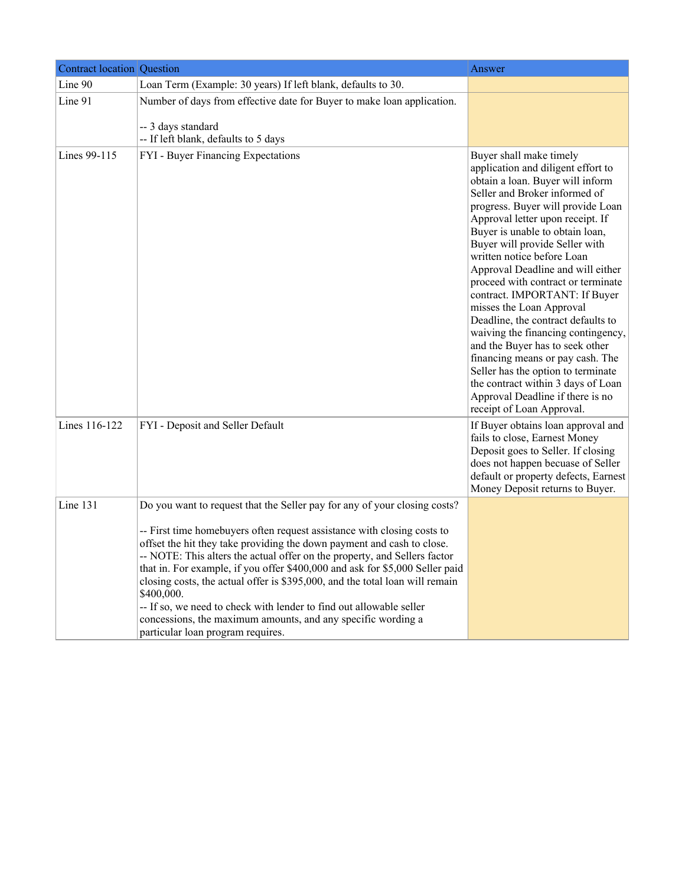| <b>Contract location Question</b> |                                                                                                                                                                                                                                                                                                                                                                                                                                                                                                                                                                                                                                                                       | Answer                                                                                                                                                                                                                                                                                                                                                                                                                                                                                                                                                                                                                                                                                                                                                 |
|-----------------------------------|-----------------------------------------------------------------------------------------------------------------------------------------------------------------------------------------------------------------------------------------------------------------------------------------------------------------------------------------------------------------------------------------------------------------------------------------------------------------------------------------------------------------------------------------------------------------------------------------------------------------------------------------------------------------------|--------------------------------------------------------------------------------------------------------------------------------------------------------------------------------------------------------------------------------------------------------------------------------------------------------------------------------------------------------------------------------------------------------------------------------------------------------------------------------------------------------------------------------------------------------------------------------------------------------------------------------------------------------------------------------------------------------------------------------------------------------|
| Line 90                           | Loan Term (Example: 30 years) If left blank, defaults to 30.                                                                                                                                                                                                                                                                                                                                                                                                                                                                                                                                                                                                          |                                                                                                                                                                                                                                                                                                                                                                                                                                                                                                                                                                                                                                                                                                                                                        |
| Line 91                           | Number of days from effective date for Buyer to make loan application.<br>-- 3 days standard<br>-- If left blank, defaults to 5 days                                                                                                                                                                                                                                                                                                                                                                                                                                                                                                                                  |                                                                                                                                                                                                                                                                                                                                                                                                                                                                                                                                                                                                                                                                                                                                                        |
| Lines 99-115                      | FYI - Buyer Financing Expectations                                                                                                                                                                                                                                                                                                                                                                                                                                                                                                                                                                                                                                    | Buyer shall make timely<br>application and diligent effort to<br>obtain a loan. Buyer will inform<br>Seller and Broker informed of<br>progress. Buyer will provide Loan<br>Approval letter upon receipt. If<br>Buyer is unable to obtain loan,<br>Buyer will provide Seller with<br>written notice before Loan<br>Approval Deadline and will either<br>proceed with contract or terminate<br>contract. IMPORTANT: If Buyer<br>misses the Loan Approval<br>Deadline, the contract defaults to<br>waiving the financing contingency,<br>and the Buyer has to seek other<br>financing means or pay cash. The<br>Seller has the option to terminate<br>the contract within 3 days of Loan<br>Approval Deadline if there is no<br>receipt of Loan Approval. |
| Lines 116-122                     | FYI - Deposit and Seller Default                                                                                                                                                                                                                                                                                                                                                                                                                                                                                                                                                                                                                                      | If Buyer obtains loan approval and<br>fails to close, Earnest Money<br>Deposit goes to Seller. If closing<br>does not happen becuase of Seller<br>default or property defects, Earnest<br>Money Deposit returns to Buyer.                                                                                                                                                                                                                                                                                                                                                                                                                                                                                                                              |
| Line $131$                        | Do you want to request that the Seller pay for any of your closing costs?<br>-- First time homebuyers often request assistance with closing costs to<br>offset the hit they take providing the down payment and cash to close.<br>-- NOTE: This alters the actual offer on the property, and Sellers factor<br>that in. For example, if you offer \$400,000 and ask for \$5,000 Seller paid<br>closing costs, the actual offer is \$395,000, and the total loan will remain<br>\$400,000.<br>-- If so, we need to check with lender to find out allowable seller<br>concessions, the maximum amounts, and any specific wording a<br>particular loan program requires. |                                                                                                                                                                                                                                                                                                                                                                                                                                                                                                                                                                                                                                                                                                                                                        |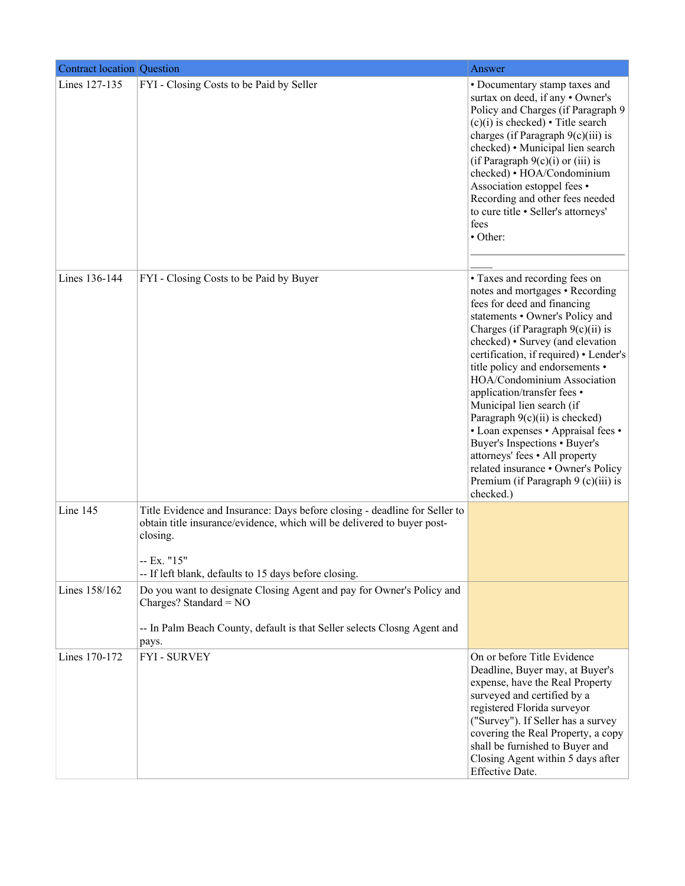| <b>Contract location Question</b> |                                                                                                                                                                                                                                          | Answer                                                                                                                                                                                                                                                                                                                                                                                                                                                                                                                                                                                                                         |
|-----------------------------------|------------------------------------------------------------------------------------------------------------------------------------------------------------------------------------------------------------------------------------------|--------------------------------------------------------------------------------------------------------------------------------------------------------------------------------------------------------------------------------------------------------------------------------------------------------------------------------------------------------------------------------------------------------------------------------------------------------------------------------------------------------------------------------------------------------------------------------------------------------------------------------|
| Lines 127-135                     | FYI - Closing Costs to be Paid by Seller                                                                                                                                                                                                 | • Documentary stamp taxes and<br>surtax on deed, if any • Owner's<br>Policy and Charges (if Paragraph 9<br>$(c)(i)$ is checked) • Title search<br>charges (if Paragraph $9(c)(iii)$ ) is<br>checked) • Municipal lien search<br>(if Paragraph $9(c)(i)$ or (iii) is<br>checked) • HOA/Condominium<br>Association estoppel fees •<br>Recording and other fees needed<br>to cure title · Seller's attorneys'<br>fees<br>• Other:                                                                                                                                                                                                 |
| Lines 136-144                     | FYI - Closing Costs to be Paid by Buyer                                                                                                                                                                                                  | • Taxes and recording fees on<br>notes and mortgages • Recording<br>fees for deed and financing<br>statements • Owner's Policy and<br>Charges (if Paragraph $9(c)(ii)$ is<br>checked) • Survey (and elevation<br>certification, if required) • Lender's<br>title policy and endorsements •<br>HOA/Condominium Association<br>application/transfer fees •<br>Municipal lien search (if<br>Paragraph $9(c)(ii)$ is checked)<br>• Loan expenses • Appraisal fees •<br>Buyer's Inspections • Buyer's<br>attorneys' fees • All property<br>related insurance • Owner's Policy<br>Premium (if Paragraph $9$ (c)(iii) is<br>checked.) |
| Line 145                          | Title Evidence and Insurance: Days before closing - deadline for Seller to<br>obtain title insurance/evidence, which will be delivered to buyer post-<br>closing.<br>- Ex. "15"<br>-- If left blank, defaults to 15 days before closing. |                                                                                                                                                                                                                                                                                                                                                                                                                                                                                                                                                                                                                                |
| Lines 158/162                     | Do you want to designate Closing Agent and pay for Owner's Policy and<br>Charges? Standard = $NO$<br>-- In Palm Beach County, default is that Seller selects Closng Agent and<br>pays.                                                   |                                                                                                                                                                                                                                                                                                                                                                                                                                                                                                                                                                                                                                |
| Lines 170-172                     | <b>FYI - SURVEY</b>                                                                                                                                                                                                                      | On or before Title Evidence<br>Deadline, Buyer may, at Buyer's<br>expense, have the Real Property<br>surveyed and certified by a<br>registered Florida surveyor<br>("Survey"). If Seller has a survey<br>covering the Real Property, a copy<br>shall be furnished to Buyer and<br>Closing Agent within 5 days after<br>Effective Date.                                                                                                                                                                                                                                                                                         |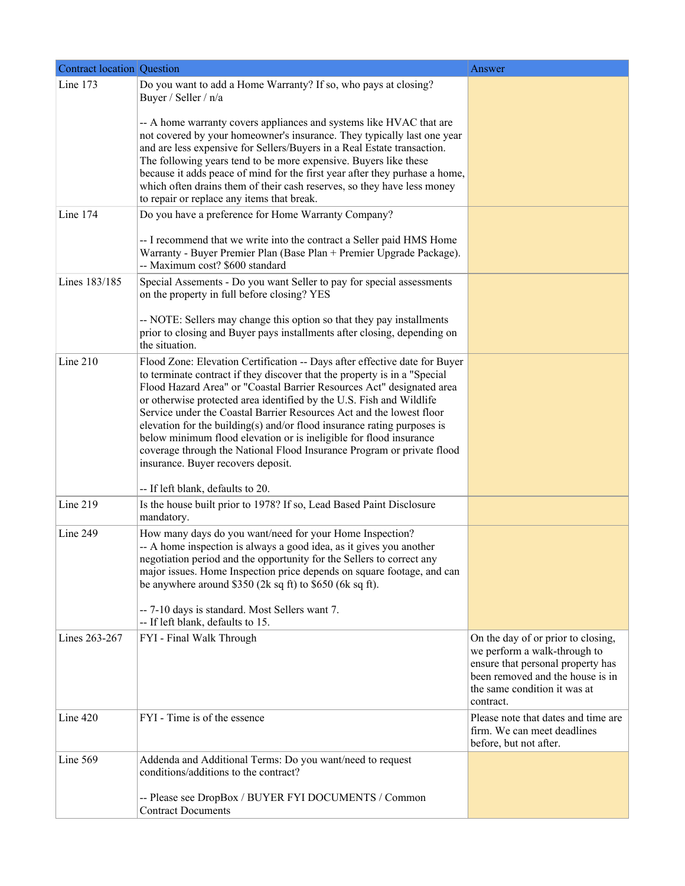| <b>Contract location Question</b> |                                                                                                                                                                                                                                                                                                                                                                                                                                                                                                                                                                                                                                                   | Answer                                                                                                                                                                                   |
|-----------------------------------|---------------------------------------------------------------------------------------------------------------------------------------------------------------------------------------------------------------------------------------------------------------------------------------------------------------------------------------------------------------------------------------------------------------------------------------------------------------------------------------------------------------------------------------------------------------------------------------------------------------------------------------------------|------------------------------------------------------------------------------------------------------------------------------------------------------------------------------------------|
| Line 173                          | Do you want to add a Home Warranty? If so, who pays at closing?<br>Buyer / Seller / n/a                                                                                                                                                                                                                                                                                                                                                                                                                                                                                                                                                           |                                                                                                                                                                                          |
|                                   | -- A home warranty covers appliances and systems like HVAC that are<br>not covered by your homeowner's insurance. They typically last one year<br>and are less expensive for Sellers/Buyers in a Real Estate transaction.<br>The following years tend to be more expensive. Buyers like these<br>because it adds peace of mind for the first year after they purhase a home,<br>which often drains them of their cash reserves, so they have less money<br>to repair or replace any items that break.                                                                                                                                             |                                                                                                                                                                                          |
| Line 174                          | Do you have a preference for Home Warranty Company?<br>-- I recommend that we write into the contract a Seller paid HMS Home<br>Warranty - Buyer Premier Plan (Base Plan + Premier Upgrade Package).                                                                                                                                                                                                                                                                                                                                                                                                                                              |                                                                                                                                                                                          |
| Lines 183/185                     | -- Maximum cost? \$600 standard<br>Special Assements - Do you want Seller to pay for special assessments<br>on the property in full before closing? YES                                                                                                                                                                                                                                                                                                                                                                                                                                                                                           |                                                                                                                                                                                          |
|                                   | -- NOTE: Sellers may change this option so that they pay installments<br>prior to closing and Buyer pays installments after closing, depending on<br>the situation.                                                                                                                                                                                                                                                                                                                                                                                                                                                                               |                                                                                                                                                                                          |
| Line 210                          | Flood Zone: Elevation Certification -- Days after effective date for Buyer<br>to terminate contract if they discover that the property is in a "Special<br>Flood Hazard Area" or "Coastal Barrier Resources Act" designated area<br>or otherwise protected area identified by the U.S. Fish and Wildlife<br>Service under the Coastal Barrier Resources Act and the lowest floor<br>elevation for the building(s) and/or flood insurance rating purposes is<br>below minimum flood elevation or is ineligible for flood insurance<br>coverage through the National Flood Insurance Program or private flood<br>insurance. Buyer recovers deposit. |                                                                                                                                                                                          |
|                                   | -- If left blank, defaults to 20.                                                                                                                                                                                                                                                                                                                                                                                                                                                                                                                                                                                                                 |                                                                                                                                                                                          |
| Line 219                          | Is the house built prior to 1978? If so, Lead Based Paint Disclosure<br>mandatory.                                                                                                                                                                                                                                                                                                                                                                                                                                                                                                                                                                |                                                                                                                                                                                          |
| Line 249                          | How many days do you want/need for your Home Inspection?<br>-- A home inspection is always a good idea, as it gives you another<br>negotiation period and the opportunity for the Sellers to correct any<br>major issues. Home Inspection price depends on square footage, and can<br>be anywhere around \$350 (2k sq ft) to \$650 (6k sq ft).<br>-- 7-10 days is standard. Most Sellers want 7.<br>-- If left blank, defaults to 15.                                                                                                                                                                                                             |                                                                                                                                                                                          |
| Lines 263-267                     | FYI - Final Walk Through                                                                                                                                                                                                                                                                                                                                                                                                                                                                                                                                                                                                                          | On the day of or prior to closing,<br>we perform a walk-through to<br>ensure that personal property has<br>been removed and the house is in<br>the same condition it was at<br>contract. |
| Line 420                          | FYI - Time is of the essence                                                                                                                                                                                                                                                                                                                                                                                                                                                                                                                                                                                                                      | Please note that dates and time are<br>firm. We can meet deadlines<br>before, but not after.                                                                                             |
| Line 569                          | Addenda and Additional Terms: Do you want/need to request<br>conditions/additions to the contract?                                                                                                                                                                                                                                                                                                                                                                                                                                                                                                                                                |                                                                                                                                                                                          |
|                                   | -- Please see DropBox / BUYER FYI DOCUMENTS / Common<br><b>Contract Documents</b>                                                                                                                                                                                                                                                                                                                                                                                                                                                                                                                                                                 |                                                                                                                                                                                          |